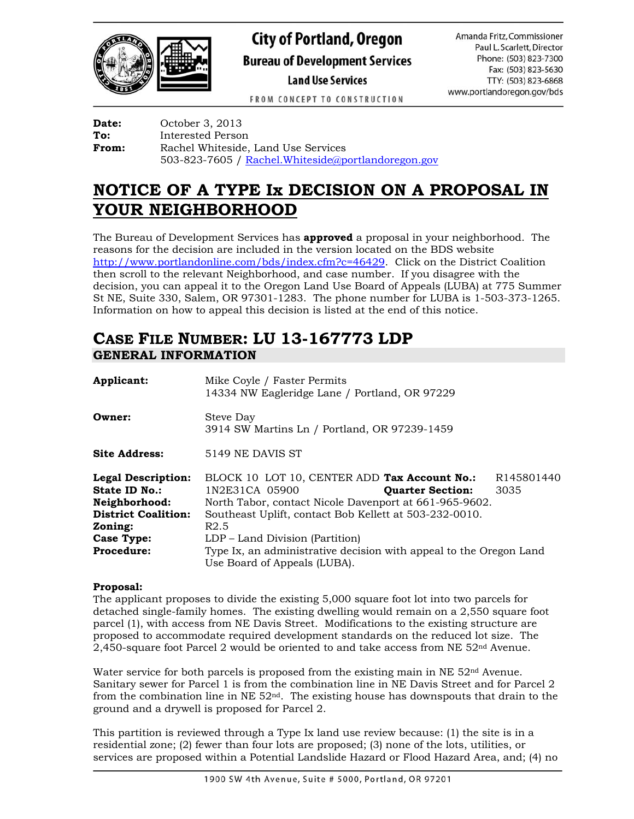

# **City of Portland, Oregon Bureau of Development Services Land Use Services**

Amanda Fritz, Commissioner Paul L. Scarlett, Director Phone: (503) 823-7300 Fax: (503) 823-5630 TTY: (503) 823-6868 www.portlandoregon.gov/bds

FROM CONCEPT TO CONSTRUCTION

**Date:** October 3, 2013 **To:** Interested Person **From:** Rachel Whiteside, Land Use Services 503-823-7605 / [Rachel.Whiteside@portlandoregon.gov](mailto:Rachel.Whiteside@portlandoregon.gov)

# **NOTICE OF A TYPE Ix DECISION ON A PROPOSAL IN YOUR NEIGHBORHOOD**

The Bureau of Development Services has **approved** a proposal in your neighborhood. The reasons for the decision are included in the version located on the BDS website [http://www.portlandonline.com/bds/index.cfm?c=46429.](http://www.portlandonline.com/bds/index.cfm?c=46429) Click on the District Coalition then scroll to the relevant Neighborhood, and case number. If you disagree with the decision, you can appeal it to the Oregon Land Use Board of Appeals (LUBA) at 775 Summer St NE, Suite 330, Salem, OR 97301-1283. The phone number for LUBA is 1-503-373-1265. Information on how to appeal this decision is listed at the end of this notice.

# **CASE FILE NUMBER: LU 13-167773 LDP GENERAL INFORMATION**

| Applicant:                                                                                                                | Mike Coyle / Faster Permits<br>14334 NW Eagleridge Lane / Portland, OR 97229                                                                                                                                                                             |                                |  |
|---------------------------------------------------------------------------------------------------------------------------|----------------------------------------------------------------------------------------------------------------------------------------------------------------------------------------------------------------------------------------------------------|--------------------------------|--|
| Owner:                                                                                                                    | Steve Day<br>3914 SW Martins Ln / Portland, OR 97239-1459                                                                                                                                                                                                |                                |  |
| <b>Site Address:</b>                                                                                                      | 5149 NE DAVIS ST                                                                                                                                                                                                                                         |                                |  |
| <b>Legal Description:</b><br>State ID No.:<br>Neighborhood:<br><b>District Coalition:</b><br>Zoning:<br><b>Case Type:</b> | BLOCK 10 LOT 10, CENTER ADD Tax Account No.:<br>1N2E31CA 05900<br><b>Quarter Section:</b><br>North Tabor, contact Nicole Davenport at 661-965-9602.<br>Southeast Uplift, contact Bob Kellett at 503-232-0010.<br>R2.5<br>LDP – Land Division (Partition) | R <sub>145801440</sub><br>3035 |  |
| <b>Procedure:</b>                                                                                                         | Type Ix, an administrative decision with appeal to the Oregon Land<br>Use Board of Appeals (LUBA).                                                                                                                                                       |                                |  |

#### **Proposal:**

The applicant proposes to divide the existing 5,000 square foot lot into two parcels for detached single-family homes. The existing dwelling would remain on a 2,550 square foot parcel (1), with access from NE Davis Street. Modifications to the existing structure are proposed to accommodate required development standards on the reduced lot size. The 2,450-square foot Parcel 2 would be oriented to and take access from NE 52nd Avenue.

Water service for both parcels is proposed from the existing main in NE 52nd Avenue. Sanitary sewer for Parcel 1 is from the combination line in NE Davis Street and for Parcel 2 from the combination line in NE  $52<sup>nd</sup>$ . The existing house has downspouts that drain to the ground and a drywell is proposed for Parcel 2.

This partition is reviewed through a Type Ix land use review because: (1) the site is in a residential zone; (2) fewer than four lots are proposed; (3) none of the lots, utilities, or services are proposed within a Potential Landslide Hazard or Flood Hazard Area, and; (4) no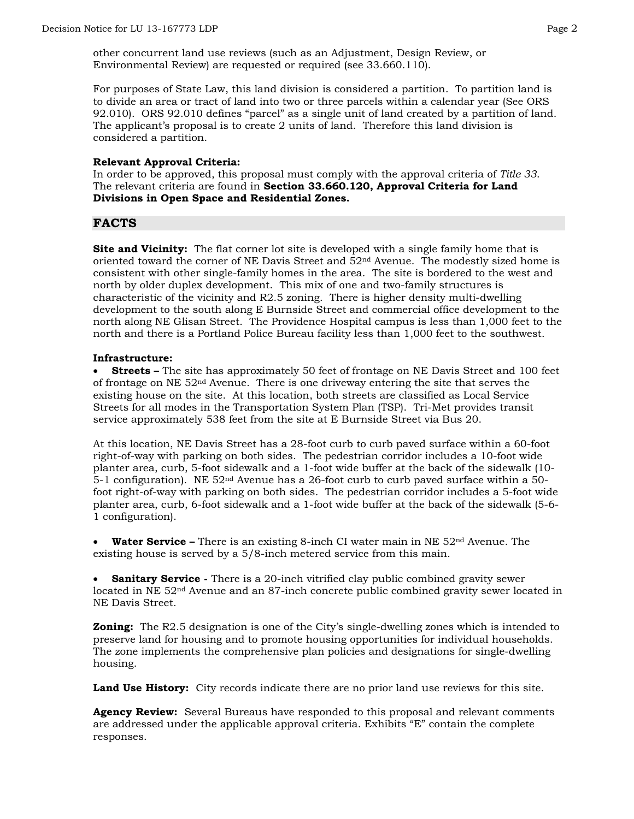other concurrent land use reviews (such as an Adjustment, Design Review, or Environmental Review) are requested or required (see 33.660.110).

For purposes of State Law, this land division is considered a partition. To partition land is to divide an area or tract of land into two or three parcels within a calendar year (See ORS 92.010). ORS 92.010 defines "parcel" as a single unit of land created by a partition of land. The applicant's proposal is to create 2 units of land. Therefore this land division is considered a partition.

#### **Relevant Approval Criteria:**

In order to be approved, this proposal must comply with the approval criteria of *Title 33*. The relevant criteria are found in **Section 33.660.120, Approval Criteria for Land Divisions in Open Space and Residential Zones.**

## **FACTS**

**Site and Vicinity:** The flat corner lot site is developed with a single family home that is oriented toward the corner of NE Davis Street and  $52<sup>nd</sup>$  Avenue. The modestly sized home is consistent with other single-family homes in the area. The site is bordered to the west and north by older duplex development. This mix of one and two-family structures is characteristic of the vicinity and R2.5 zoning. There is higher density multi-dwelling development to the south along E Burnside Street and commercial office development to the north along NE Glisan Street. The Providence Hospital campus is less than 1,000 feet to the north and there is a Portland Police Bureau facility less than 1,000 feet to the southwest.

#### **Infrastructure:**

 **Streets –** The site has approximately 50 feet of frontage on NE Davis Street and 100 feet of frontage on NE  $52<sup>nd</sup>$  Avenue. There is one driveway entering the site that serves the existing house on the site. At this location, both streets are classified as Local Service Streets for all modes in the Transportation System Plan (TSP). Tri-Met provides transit service approximately 538 feet from the site at E Burnside Street via Bus 20.

At this location, NE Davis Street has a 28-foot curb to curb paved surface within a 60-foot right-of-way with parking on both sides. The pedestrian corridor includes a 10-foot wide planter area, curb, 5-foot sidewalk and a 1-foot wide buffer at the back of the sidewalk (10- 5-1 configuration). NE  $52<sup>nd</sup>$  Avenue has a 26-foot curb to curb paved surface within a 50foot right-of-way with parking on both sides. The pedestrian corridor includes a 5-foot wide planter area, curb, 6-foot sidewalk and a 1-foot wide buffer at the back of the sidewalk (5-6- 1 configuration).

 **Water Service –** There is an existing 8-inch CI water main in NE 52nd Avenue. The existing house is served by a 5/8-inch metered service from this main.

**Sanitary Service** - There is a 20-inch vitrified clay public combined gravity sewer located in NE 52nd Avenue and an 87-inch concrete public combined gravity sewer located in NE Davis Street.

**Zoning:** The R2.5 designation is one of the City's single-dwelling zones which is intended to preserve land for housing and to promote housing opportunities for individual households. The zone implements the comprehensive plan policies and designations for single-dwelling housing.

Land Use History: City records indicate there are no prior land use reviews for this site.

**Agency Review:** Several Bureaus have responded to this proposal and relevant comments are addressed under the applicable approval criteria. Exhibits "E" contain the complete responses.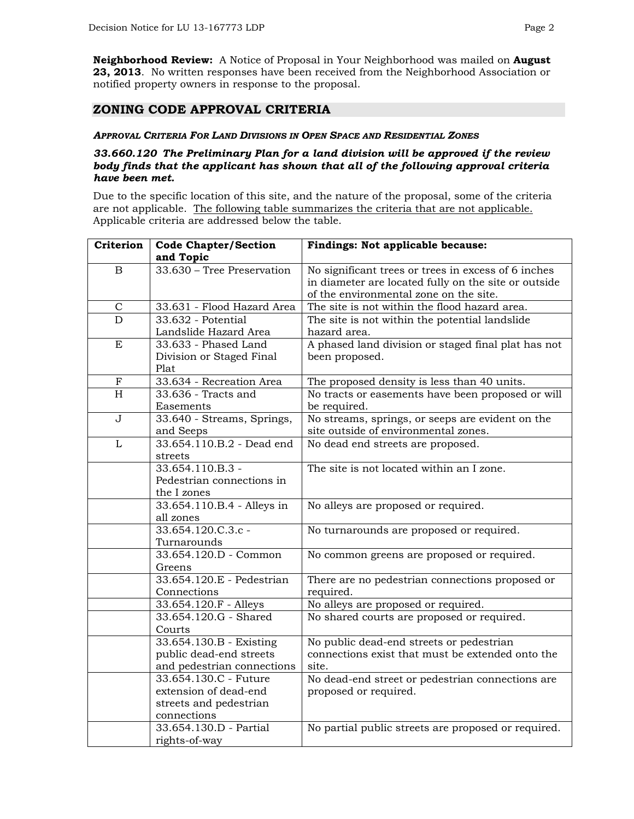**Neighborhood Review:** A Notice of Proposal in Your Neighborhood was mailed on **August 23, 2013**. No written responses have been received from the Neighborhood Association or notified property owners in response to the proposal.

## **ZONING CODE APPROVAL CRITERIA**

#### *APPROVAL CRITERIA FOR LAND DIVISIONS IN OPEN SPACE AND RESIDENTIAL ZONES*

#### *33.660.120 The Preliminary Plan for a land division will be approved if the review body finds that the applicant has shown that all of the following approval criteria have been met.*

Due to the specific location of this site, and the nature of the proposal, some of the criteria are not applicable. The following table summarizes the criteria that are not applicable. Applicable criteria are addressed below the table.

| Criterion               | <b>Code Chapter/Section</b><br>and Topic | Findings: Not applicable because:                    |  |  |
|-------------------------|------------------------------------------|------------------------------------------------------|--|--|
| B                       | 33.630 - Tree Preservation               | No significant trees or trees in excess of 6 inches  |  |  |
|                         |                                          | in diameter are located fully on the site or outside |  |  |
|                         |                                          | of the environmental zone on the site.               |  |  |
| $\mathbf C$             | 33.631 - Flood Hazard Area               | The site is not within the flood hazard area.        |  |  |
| D                       | 33.632 - Potential                       | The site is not within the potential landslide       |  |  |
|                         | Landslide Hazard Area                    | hazard area.                                         |  |  |
| E                       | 33.633 - Phased Land                     | A phased land division or staged final plat has not  |  |  |
|                         | Division or Staged Final                 | been proposed.                                       |  |  |
|                         | Plat                                     |                                                      |  |  |
| $\mathbf F$             | 33.634 - Recreation Area                 | The proposed density is less than 40 units.          |  |  |
| $\overline{H}$          | 33.636 - Tracts and                      | No tracts or easements have been proposed or will    |  |  |
|                         | Easements                                | be required.                                         |  |  |
| $\overline{\mathsf{J}}$ | 33.640 - Streams, Springs,               | No streams, springs, or seeps are evident on the     |  |  |
|                         | and Seeps                                | site outside of environmental zones.                 |  |  |
| L                       | 33.654.110.B.2 - Dead end                | No dead end streets are proposed.                    |  |  |
|                         | streets                                  |                                                      |  |  |
|                         | 33.654.110.B.3 -                         | The site is not located within an I zone.            |  |  |
|                         | Pedestrian connections in                |                                                      |  |  |
|                         | the I zones                              |                                                      |  |  |
|                         | 33.654.110.B.4 - Alleys in               | No alleys are proposed or required.                  |  |  |
|                         | all zones                                |                                                      |  |  |
|                         | $33.654.120.C.3.c -$                     | No turnarounds are proposed or required.             |  |  |
|                         | Turnarounds<br>33.654.120.D - Common     |                                                      |  |  |
|                         |                                          | No common greens are proposed or required.           |  |  |
|                         | Greens<br>33.654.120.E - Pedestrian      | There are no pedestrian connections proposed or      |  |  |
|                         | Connections                              | required.                                            |  |  |
|                         | 33.654.120.F - Alleys                    | No alleys are proposed or required.                  |  |  |
|                         | 33.654.120.G - Shared                    | No shared courts are proposed or required.           |  |  |
|                         | Courts                                   |                                                      |  |  |
|                         | 33.654.130.B - Existing                  | No public dead-end streets or pedestrian             |  |  |
|                         | public dead-end streets                  | connections exist that must be extended onto the     |  |  |
|                         | and pedestrian connections               | site.                                                |  |  |
|                         | 33.654.130.C - Future                    | No dead-end street or pedestrian connections are     |  |  |
|                         | extension of dead-end                    | proposed or required.                                |  |  |
|                         | streets and pedestrian                   |                                                      |  |  |
|                         | connections                              |                                                      |  |  |
|                         | 33.654.130.D - Partial                   | No partial public streets are proposed or required.  |  |  |
|                         | rights-of-way                            |                                                      |  |  |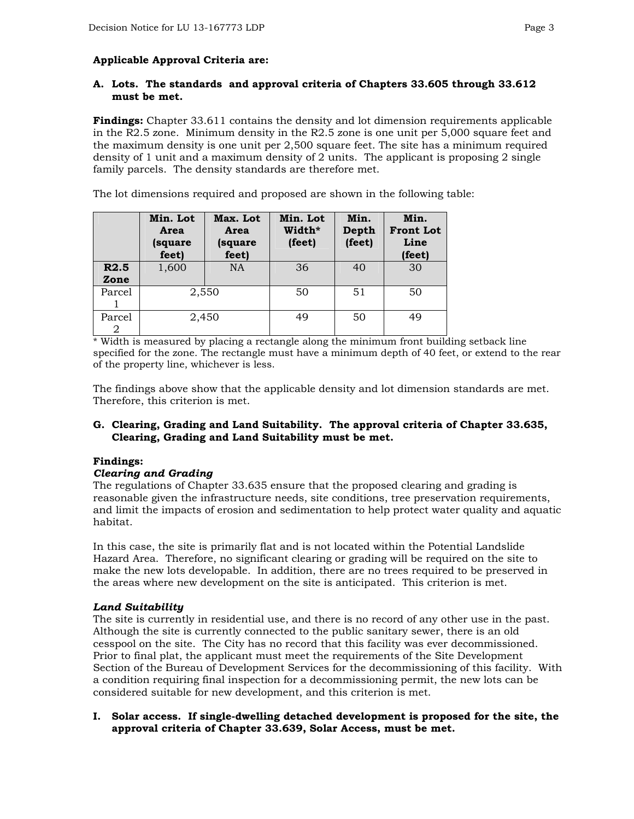### **Applicable Approval Criteria are:**

#### **A. Lots. The standards and approval criteria of Chapters 33.605 through 33.612 must be met.**

**Findings:** Chapter 33.611 contains the density and lot dimension requirements applicable in the R2.5 zone. Minimum density in the R2.5 zone is one unit per 5,000 square feet and the maximum density is one unit per 2,500 square feet. The site has a minimum required density of 1 unit and a maximum density of 2 units. The applicant is proposing 2 single family parcels. The density standards are therefore met.

The lot dimensions required and proposed are shown in the following table:

|                          | Min. Lot<br>Area<br>(square<br>feet) | Max. Lot<br>Area<br>(square<br>feet) | Min. Lot<br>Width*<br>(feet) | Min.<br>Depth<br>(feet) | Min.<br><b>Front Lot</b><br>Line<br>(feet) |
|--------------------------|--------------------------------------|--------------------------------------|------------------------------|-------------------------|--------------------------------------------|
| R <sub>2.5</sub><br>Zone | 1,600                                | <b>NA</b>                            | 36                           | 40                      | 30                                         |
| Parcel                   | 2,550                                |                                      | 50                           | 51                      | 50                                         |
| Parcel<br>2              | 2,450                                |                                      | 49                           | 50                      | 49                                         |

\* Width is measured by placing a rectangle along the minimum front building setback line specified for the zone. The rectangle must have a minimum depth of 40 feet, or extend to the rear of the property line, whichever is less.

The findings above show that the applicable density and lot dimension standards are met. Therefore, this criterion is met.

#### **G. Clearing, Grading and Land Suitability. The approval criteria of Chapter 33.635, Clearing, Grading and Land Suitability must be met.**

#### **Findings:**

#### *Clearing and Grading*

The regulations of Chapter 33.635 ensure that the proposed clearing and grading is reasonable given the infrastructure needs, site conditions, tree preservation requirements, and limit the impacts of erosion and sedimentation to help protect water quality and aquatic habitat.

In this case, the site is primarily flat and is not located within the Potential Landslide Hazard Area. Therefore, no significant clearing or grading will be required on the site to make the new lots developable. In addition, there are no trees required to be preserved in the areas where new development on the site is anticipated. This criterion is met.

#### *Land Suitability*

The site is currently in residential use, and there is no record of any other use in the past. Although the site is currently connected to the public sanitary sewer, there is an old cesspool on the site. The City has no record that this facility was ever decommissioned. Prior to final plat, the applicant must meet the requirements of the Site Development Section of the Bureau of Development Services for the decommissioning of this facility. With a condition requiring final inspection for a decommissioning permit, the new lots can be considered suitable for new development, and this criterion is met.

#### **I. Solar access. If single-dwelling detached development is proposed for the site, the approval criteria of Chapter 33.639, Solar Access, must be met.**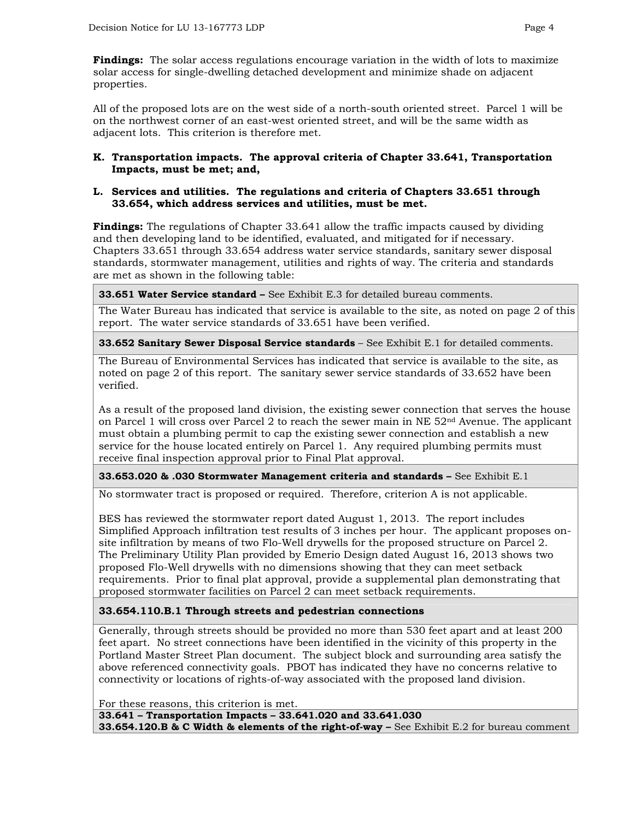**Findings:** The solar access regulations encourage variation in the width of lots to maximize solar access for single-dwelling detached development and minimize shade on adjacent properties.

All of the proposed lots are on the west side of a north-south oriented street. Parcel 1 will be on the northwest corner of an east-west oriented street, and will be the same width as adjacent lots. This criterion is therefore met.

#### **K. Transportation impacts. The approval criteria of Chapter 33.641, Transportation Impacts, must be met; and,**

#### **L. Services and utilities. The regulations and criteria of Chapters 33.651 through 33.654, which address services and utilities, must be met.**

**Findings:** The regulations of Chapter 33.641 allow the traffic impacts caused by dividing and then developing land to be identified, evaluated, and mitigated for if necessary. Chapters 33.651 through 33.654 address water service standards, sanitary sewer disposal standards, stormwater management, utilities and rights of way. The criteria and standards are met as shown in the following table:

**33.651 Water Service standard –** See Exhibit E.3 for detailed bureau comments.

The Water Bureau has indicated that service is available to the site, as noted on page 2 of this report. The water service standards of 33.651 have been verified.

**33.652 Sanitary Sewer Disposal Service standards** – See Exhibit E.1 for detailed comments.

The Bureau of Environmental Services has indicated that service is available to the site, as noted on page 2 of this report. The sanitary sewer service standards of 33.652 have been verified.

As a result of the proposed land division, the existing sewer connection that serves the house on Parcel 1 will cross over Parcel 2 to reach the sewer main in NE  $52<sup>nd</sup>$  Avenue. The applicant must obtain a plumbing permit to cap the existing sewer connection and establish a new service for the house located entirely on Parcel 1. Any required plumbing permits must receive final inspection approval prior to Final Plat approval.

**33.653.020 & .030 Stormwater Management criteria and standards –** See Exhibit E.1

No stormwater tract is proposed or required. Therefore, criterion A is not applicable.

BES has reviewed the stormwater report dated August 1, 2013. The report includes Simplified Approach infiltration test results of 3 inches per hour. The applicant proposes onsite infiltration by means of two Flo-Well drywells for the proposed structure on Parcel 2. The Preliminary Utility Plan provided by Emerio Design dated August 16, 2013 shows two proposed Flo-Well drywells with no dimensions showing that they can meet setback requirements. Prior to final plat approval, provide a supplemental plan demonstrating that proposed stormwater facilities on Parcel 2 can meet setback requirements.

#### **33.654.110.B.1 Through streets and pedestrian connections**

Generally, through streets should be provided no more than 530 feet apart and at least 200 feet apart. No street connections have been identified in the vicinity of this property in the Portland Master Street Plan document. The subject block and surrounding area satisfy the above referenced connectivity goals. PBOT has indicated they have no concerns relative to connectivity or locations of rights-of-way associated with the proposed land division.

For these reasons, this criterion is met.

**33.641 – Transportation Impacts – 33.641.020 and 33.641.030** 

**33.654.120.B & C Width & elements of the right-of-way –** See Exhibit E.2 for bureau comment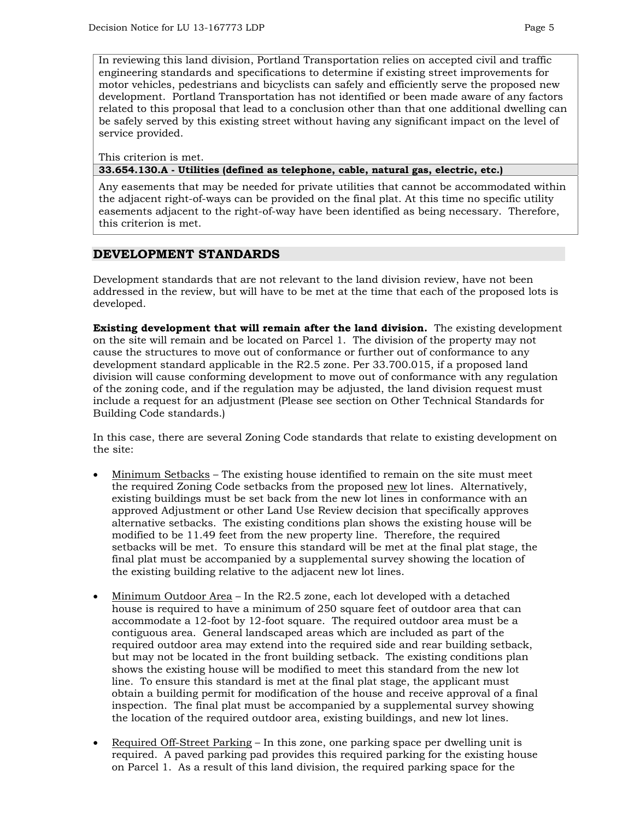In reviewing this land division, Portland Transportation relies on accepted civil and traffic engineering standards and specifications to determine if existing street improvements for motor vehicles, pedestrians and bicyclists can safely and efficiently serve the proposed new development. Portland Transportation has not identified or been made aware of any factors related to this proposal that lead to a conclusion other than that one additional dwelling can be safely served by this existing street without having any significant impact on the level of service provided.

This criterion is met.

**33.654.130.A - Utilities (defined as telephone, cable, natural gas, electric, etc.)** 

Any easements that may be needed for private utilities that cannot be accommodated within the adjacent right-of-ways can be provided on the final plat. At this time no specific utility easements adjacent to the right-of-way have been identified as being necessary. Therefore, this criterion is met.

## **DEVELOPMENT STANDARDS**

Development standards that are not relevant to the land division review, have not been addressed in the review, but will have to be met at the time that each of the proposed lots is developed.

**Existing development that will remain after the land division.** The existing development on the site will remain and be located on Parcel 1. The division of the property may not cause the structures to move out of conformance or further out of conformance to any development standard applicable in the R2.5 zone. Per 33.700.015, if a proposed land division will cause conforming development to move out of conformance with any regulation of the zoning code, and if the regulation may be adjusted, the land division request must include a request for an adjustment (Please see section on Other Technical Standards for Building Code standards.)

In this case, there are several Zoning Code standards that relate to existing development on the site:

- Minimum Setbacks The existing house identified to remain on the site must meet the required Zoning Code setbacks from the proposed new lot lines. Alternatively, existing buildings must be set back from the new lot lines in conformance with an approved Adjustment or other Land Use Review decision that specifically approves alternative setbacks. The existing conditions plan shows the existing house will be modified to be 11.49 feet from the new property line. Therefore, the required setbacks will be met. To ensure this standard will be met at the final plat stage, the final plat must be accompanied by a supplemental survey showing the location of the existing building relative to the adjacent new lot lines.
- Minimum Outdoor Area In the R2.5 zone, each lot developed with a detached house is required to have a minimum of 250 square feet of outdoor area that can accommodate a 12-foot by 12-foot square. The required outdoor area must be a contiguous area. General landscaped areas which are included as part of the required outdoor area may extend into the required side and rear building setback, but may not be located in the front building setback. The existing conditions plan shows the existing house will be modified to meet this standard from the new lot line. To ensure this standard is met at the final plat stage, the applicant must obtain a building permit for modification of the house and receive approval of a final inspection. The final plat must be accompanied by a supplemental survey showing the location of the required outdoor area, existing buildings, and new lot lines.
- Required Off-Street Parking In this zone, one parking space per dwelling unit is required. A paved parking pad provides this required parking for the existing house on Parcel 1. As a result of this land division, the required parking space for the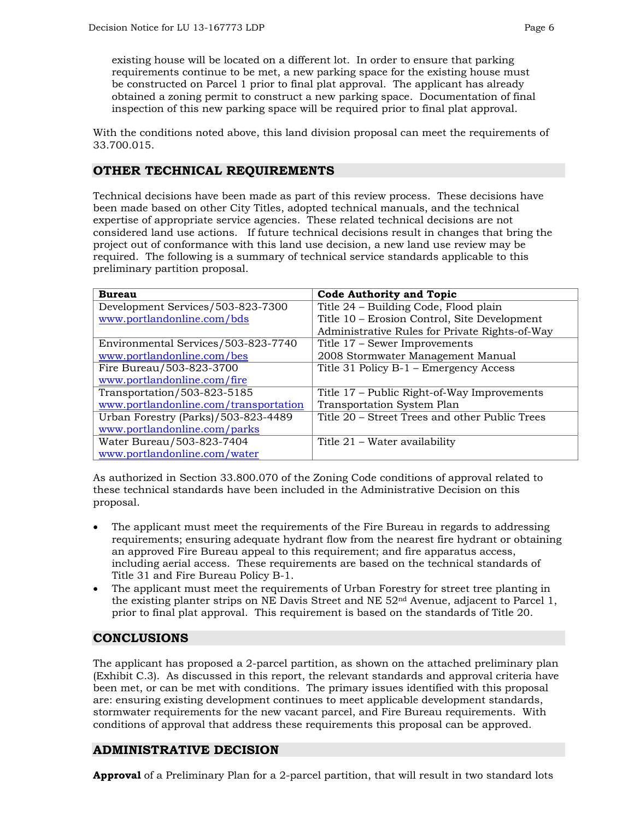existing house will be located on a different lot. In order to ensure that parking requirements continue to be met, a new parking space for the existing house must be constructed on Parcel 1 prior to final plat approval. The applicant has already obtained a zoning permit to construct a new parking space. Documentation of final inspection of this new parking space will be required prior to final plat approval.

With the conditions noted above, this land division proposal can meet the requirements of 33.700.015.

# **OTHER TECHNICAL REQUIREMENTS**

Technical decisions have been made as part of this review process. These decisions have been made based on other City Titles, adopted technical manuals, and the technical expertise of appropriate service agencies. These related technical decisions are not considered land use actions. If future technical decisions result in changes that bring the project out of conformance with this land use decision, a new land use review may be required. The following is a summary of technical service standards applicable to this preliminary partition proposal.

| <b>Bureau</b>                         | <b>Code Authority and Topic</b>                |  |  |
|---------------------------------------|------------------------------------------------|--|--|
| Development Services/503-823-7300     | Title 24 – Building Code, Flood plain          |  |  |
| www.portlandonline.com/bds            | Title 10 - Erosion Control, Site Development   |  |  |
|                                       | Administrative Rules for Private Rights-of-Way |  |  |
| Environmental Services/503-823-7740   | Title 17 – Sewer Improvements                  |  |  |
| www.portlandonline.com/bes            | 2008 Stormwater Management Manual              |  |  |
| Fire Bureau/503-823-3700              | Title 31 Policy B-1 – Emergency Access         |  |  |
| www.portlandonline.com/fire           |                                                |  |  |
| Transportation/503-823-5185           | Title 17 – Public Right-of-Way Improvements    |  |  |
| www.portlandonline.com/transportation | Transportation System Plan                     |  |  |
| Urban Forestry (Parks)/503-823-4489   | Title 20 - Street Trees and other Public Trees |  |  |
| www.portlandonline.com/parks          |                                                |  |  |
| Water Bureau/503-823-7404             | Title 21 – Water availability                  |  |  |
| www.portlandonline.com/water          |                                                |  |  |

As authorized in Section 33.800.070 of the Zoning Code conditions of approval related to these technical standards have been included in the Administrative Decision on this proposal.

- The applicant must meet the requirements of the Fire Bureau in regards to addressing requirements; ensuring adequate hydrant flow from the nearest fire hydrant or obtaining an approved Fire Bureau appeal to this requirement; and fire apparatus access, including aerial access. These requirements are based on the technical standards of Title 31 and Fire Bureau Policy B-1.
- The applicant must meet the requirements of Urban Forestry for street tree planting in the existing planter strips on NE Davis Street and NE 52nd Avenue, adjacent to Parcel 1, prior to final plat approval. This requirement is based on the standards of Title 20.

# **CONCLUSIONS**

The applicant has proposed a 2-parcel partition, as shown on the attached preliminary plan (Exhibit C.3). As discussed in this report, the relevant standards and approval criteria have been met, or can be met with conditions. The primary issues identified with this proposal are: ensuring existing development continues to meet applicable development standards, stormwater requirements for the new vacant parcel, and Fire Bureau requirements. With conditions of approval that address these requirements this proposal can be approved.

# **ADMINISTRATIVE DECISION**

**Approval** of a Preliminary Plan for a 2-parcel partition, that will result in two standard lots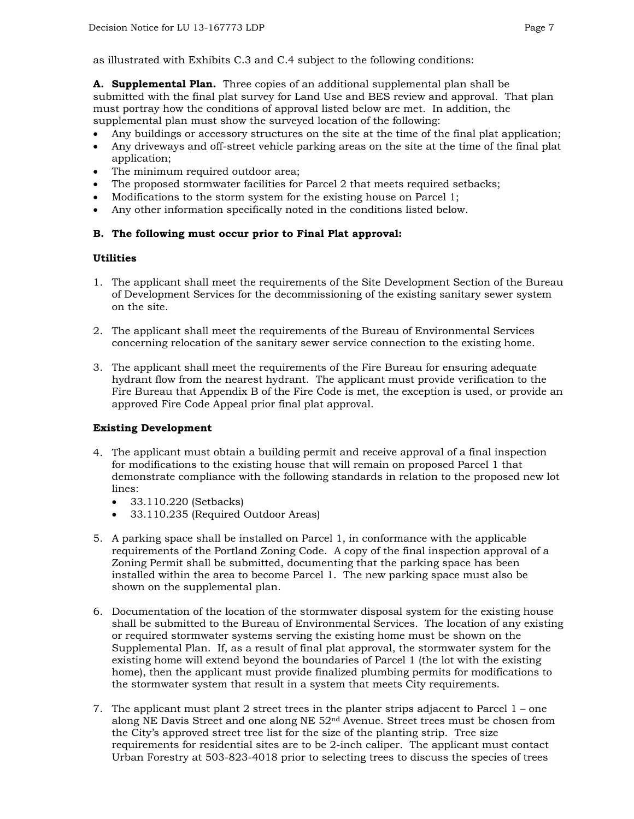as illustrated with Exhibits C.3 and C.4 subject to the following conditions:

**A. Supplemental Plan.** Three copies of an additional supplemental plan shall be submitted with the final plat survey for Land Use and BES review and approval. That plan must portray how the conditions of approval listed below are met. In addition, the supplemental plan must show the surveyed location of the following:

- Any buildings or accessory structures on the site at the time of the final plat application;
- Any driveways and off-street vehicle parking areas on the site at the time of the final plat application;
- The minimum required outdoor area;
- The proposed stormwater facilities for Parcel 2 that meets required setbacks;
- Modifications to the storm system for the existing house on Parcel 1;
- Any other information specifically noted in the conditions listed below.

#### **B. The following must occur prior to Final Plat approval:**

#### **Utilities**

- 1. The applicant shall meet the requirements of the Site Development Section of the Bureau of Development Services for the decommissioning of the existing sanitary sewer system on the site.
- 2. The applicant shall meet the requirements of the Bureau of Environmental Services concerning relocation of the sanitary sewer service connection to the existing home.
- 3. The applicant shall meet the requirements of the Fire Bureau for ensuring adequate hydrant flow from the nearest hydrant. The applicant must provide verification to the Fire Bureau that Appendix B of the Fire Code is met, the exception is used, or provide an approved Fire Code Appeal prior final plat approval.

#### **Existing Development**

- 4. The applicant must obtain a building permit and receive approval of a final inspection for modifications to the existing house that will remain on proposed Parcel 1 that demonstrate compliance with the following standards in relation to the proposed new lot lines:
	- 33.110.220 (Setbacks)
	- 33.110.235 (Required Outdoor Areas)
- 5. A parking space shall be installed on Parcel 1, in conformance with the applicable requirements of the Portland Zoning Code. A copy of the final inspection approval of a Zoning Permit shall be submitted, documenting that the parking space has been installed within the area to become Parcel 1. The new parking space must also be shown on the supplemental plan.
- 6. Documentation of the location of the stormwater disposal system for the existing house shall be submitted to the Bureau of Environmental Services. The location of any existing or required stormwater systems serving the existing home must be shown on the Supplemental Plan. If, as a result of final plat approval, the stormwater system for the existing home will extend beyond the boundaries of Parcel 1 (the lot with the existing home), then the applicant must provide finalized plumbing permits for modifications to the stormwater system that result in a system that meets City requirements.
- 7. The applicant must plant 2 street trees in the planter strips adjacent to Parcel 1 one along NE Davis Street and one along NE  $52<sup>nd</sup>$  Avenue. Street trees must be chosen from the City's approved street tree list for the size of the planting strip. Tree size requirements for residential sites are to be 2-inch caliper. The applicant must contact Urban Forestry at 503-823-4018 prior to selecting trees to discuss the species of trees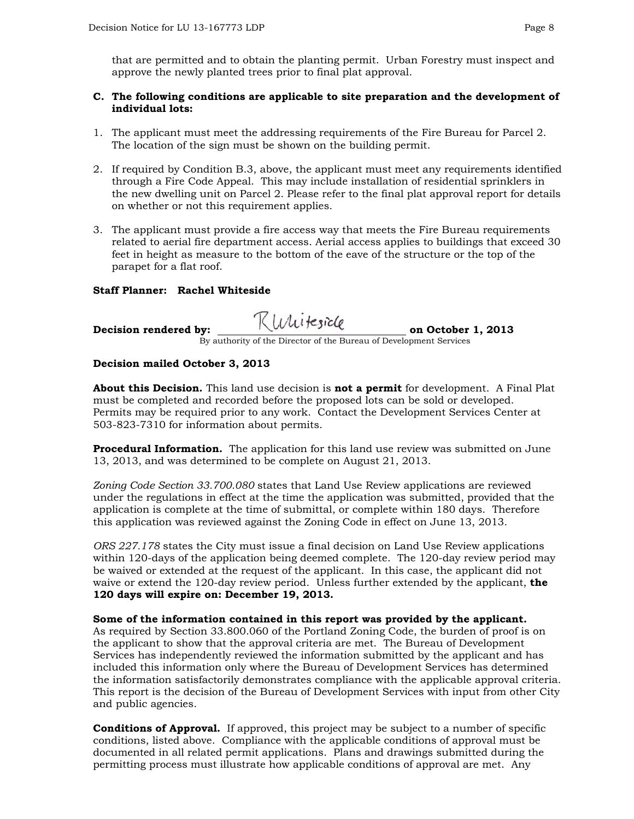that are permitted and to obtain the planting permit. Urban Forestry must inspect and approve the newly planted trees prior to final plat approval.

#### **C. The following conditions are applicable to site preparation and the development of individual lots:**

- 1. The applicant must meet the addressing requirements of the Fire Bureau for Parcel 2. The location of the sign must be shown on the building permit.
- 2. If required by Condition B.3, above, the applicant must meet any requirements identified through a Fire Code Appeal. This may include installation of residential sprinklers in the new dwelling unit on Parcel 2. Please refer to the final plat approval report for details on whether or not this requirement applies.
- 3. The applicant must provide a fire access way that meets the Fire Bureau requirements related to aerial fire department access. Aerial access applies to buildings that exceed 30 feet in height as measure to the bottom of the eave of the structure or the top of the parapet for a flat roof.

#### **Staff Planner: Rachel Whiteside**

# **Decision rendered by:**  $\sqrt{0000}$ ,  $\sqrt{9000}$  on October 1, 2013 By authority of the Director of the Bureau of Development Services

#### **Decision mailed October 3, 2013**

**About this Decision.** This land use decision is **not a permit** for development. A Final Plat must be completed and recorded before the proposed lots can be sold or developed. Permits may be required prior to any work. Contact the Development Services Center at 503-823-7310 for information about permits.

**Procedural Information.** The application for this land use review was submitted on June 13, 2013, and was determined to be complete on August 21, 2013.

*Zoning Code Section 33.700.080* states that Land Use Review applications are reviewed under the regulations in effect at the time the application was submitted, provided that the application is complete at the time of submittal, or complete within 180 days. Therefore this application was reviewed against the Zoning Code in effect on June 13, 2013.

*ORS 227.178* states the City must issue a final decision on Land Use Review applications within 120-days of the application being deemed complete. The 120-day review period may be waived or extended at the request of the applicant. In this case, the applicant did not waive or extend the 120-day review period. Unless further extended by the applicant, **the 120 days will expire on: December 19, 2013.**

**Some of the information contained in this report was provided by the applicant.**  As required by Section 33.800.060 of the Portland Zoning Code, the burden of proof is on the applicant to show that the approval criteria are met. The Bureau of Development Services has independently reviewed the information submitted by the applicant and has included this information only where the Bureau of Development Services has determined the information satisfactorily demonstrates compliance with the applicable approval criteria. This report is the decision of the Bureau of Development Services with input from other City and public agencies.

**Conditions of Approval.** If approved, this project may be subject to a number of specific conditions, listed above. Compliance with the applicable conditions of approval must be documented in all related permit applications. Plans and drawings submitted during the permitting process must illustrate how applicable conditions of approval are met. Any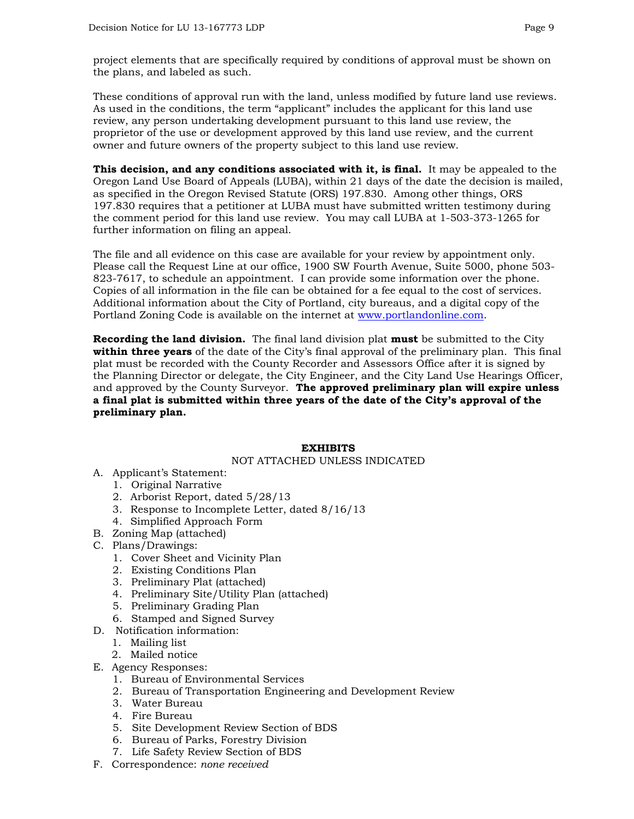project elements that are specifically required by conditions of approval must be shown on the plans, and labeled as such.

These conditions of approval run with the land, unless modified by future land use reviews. As used in the conditions, the term "applicant" includes the applicant for this land use review, any person undertaking development pursuant to this land use review, the proprietor of the use or development approved by this land use review, and the current owner and future owners of the property subject to this land use review.

**This decision, and any conditions associated with it, is final.** It may be appealed to the Oregon Land Use Board of Appeals (LUBA), within 21 days of the date the decision is mailed, as specified in the Oregon Revised Statute (ORS) 197.830. Among other things, ORS 197.830 requires that a petitioner at LUBA must have submitted written testimony during the comment period for this land use review. You may call LUBA at 1-503-373-1265 for further information on filing an appeal.

The file and all evidence on this case are available for your review by appointment only. Please call the Request Line at our office, 1900 SW Fourth Avenue, Suite 5000, phone 503- 823-7617, to schedule an appointment. I can provide some information over the phone. Copies of all information in the file can be obtained for a fee equal to the cost of services. Additional information about the City of Portland, city bureaus, and a digital copy of the Portland Zoning Code is available on the internet at [www.portlandonline.com](http://www.portlandonline.com/).

**Recording the land division.** The final land division plat **must** be submitted to the City **within three years** of the date of the City's final approval of the preliminary plan. This final plat must be recorded with the County Recorder and Assessors Office after it is signed by the Planning Director or delegate, the City Engineer, and the City Land Use Hearings Officer, and approved by the County Surveyor. **The approved preliminary plan will expire unless a final plat is submitted within three years of the date of the City's approval of the preliminary plan.** 

#### **EXHIBITS**

NOT ATTACHED UNLESS INDICATED

- A. Applicant's Statement:
	- 1. Original Narrative
	- 2. Arborist Report, dated 5/28/13
	- 3. Response to Incomplete Letter, dated 8/16/13
	- 4. Simplified Approach Form
- B. Zoning Map (attached)
- C. Plans/Drawings:
	- 1. Cover Sheet and Vicinity Plan
	- 2. Existing Conditions Plan
	- 3. Preliminary Plat (attached)
	- 4. Preliminary Site/Utility Plan (attached)
	- 5. Preliminary Grading Plan
	- 6. Stamped and Signed Survey
- D. Notification information:
	- 1. Mailing list
	- 2. Mailed notice
- E. Agency Responses:
	- 1. Bureau of Environmental Services
	- 2. Bureau of Transportation Engineering and Development Review
	- 3. Water Bureau
	- 4. Fire Bureau
	- 5. Site Development Review Section of BDS
	- 6. Bureau of Parks, Forestry Division
	- 7. Life Safety Review Section of BDS
- F. Correspondence: *none received*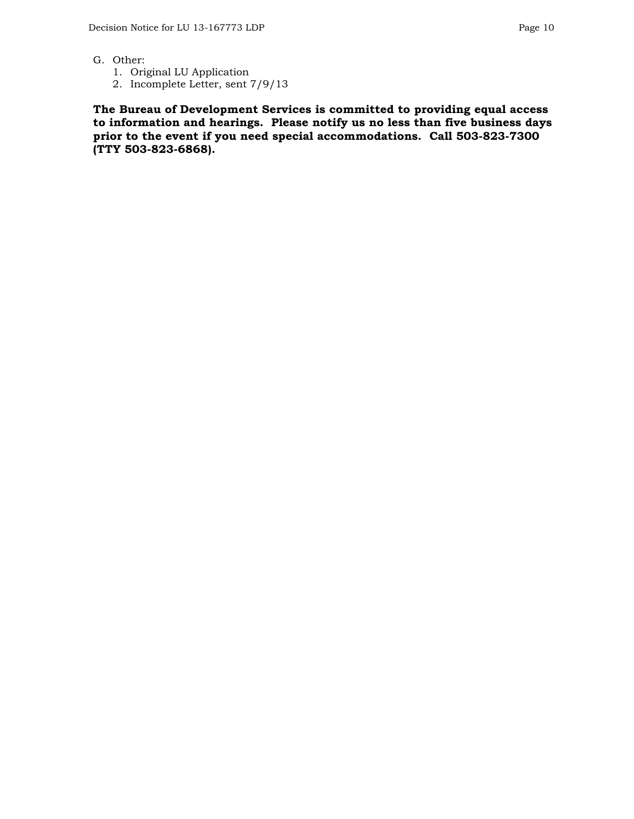- G. Other:
	- 1. Original LU Application
	- 2. Incomplete Letter, sent 7/9/13

**The Bureau of Development Services is committed to providing equal access to information and hearings. Please notify us no less than five business days prior to the event if you need special accommodations. Call 503-823-7300 (TTY 503-823-6868).**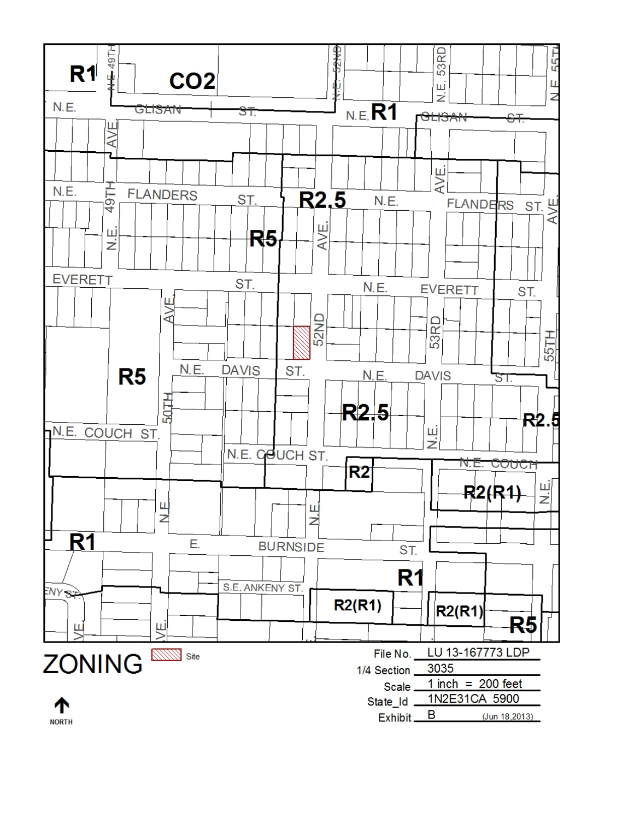